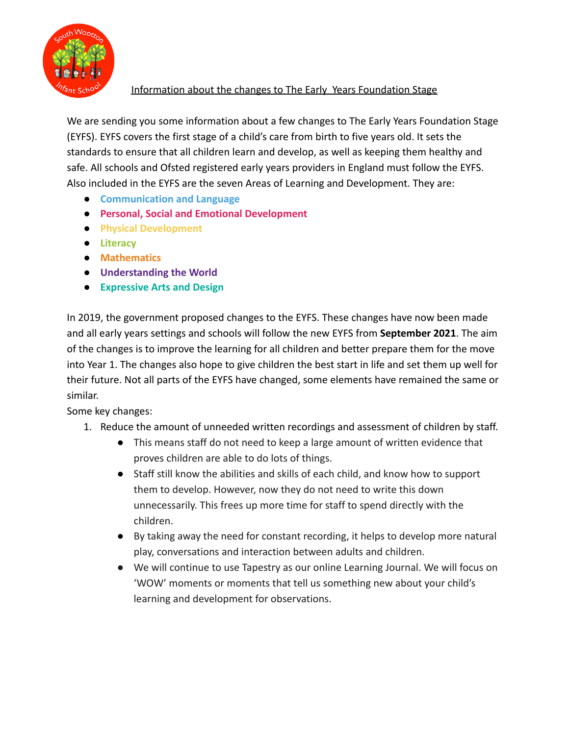

## Information about the changes to The Early Years Foundation Stage

We are sending you some information about a few changes to The Early Years Foundation Stage (EYFS). EYFS covers the first stage of a child's care from birth to five years old. It sets the standards to ensure that all children learn and develop, as well as keeping them healthy and safe. All schools and Ofsted registered early years providers in England must follow the EYFS. Also included in the EYFS are the seven Areas of Learning and Development. They are:

- **Communication and Language**
- **Personal, Social and Emotional Development**
- **Physical Development**
- **Literacy**
- **Mathematics**
- **Understanding the World**
- **Expressive Arts and Design**

In 2019, the government proposed changes to the EYFS. These changes have now been made and all early years settings and schools will follow the new EYFS from **September 2021**. The aim of the changes is to improve the learning for all children and better prepare them for the move into Year 1. The changes also hope to give children the best start in life and set them up well for their future. Not all parts of the EYFS have changed, some elements have remained the same or similar.

Some key changes:

- 1. Reduce the amount of unneeded written recordings and assessment of children by staff.
	- This means staff do not need to keep a large amount of written evidence that proves children are able to do lots of things.
	- Staff still know the abilities and skills of each child, and know how to support them to develop. However, now they do not need to write this down unnecessarily. This frees up more time for staff to spend directly with the children.
	- By taking away the need for constant recording, it helps to develop more natural play, conversations and interaction between adults and children.
	- We will continue to use Tapestry as our online Learning Journal. We will focus on 'WOW' moments or moments that tell us something new about your child's learning and development for observations.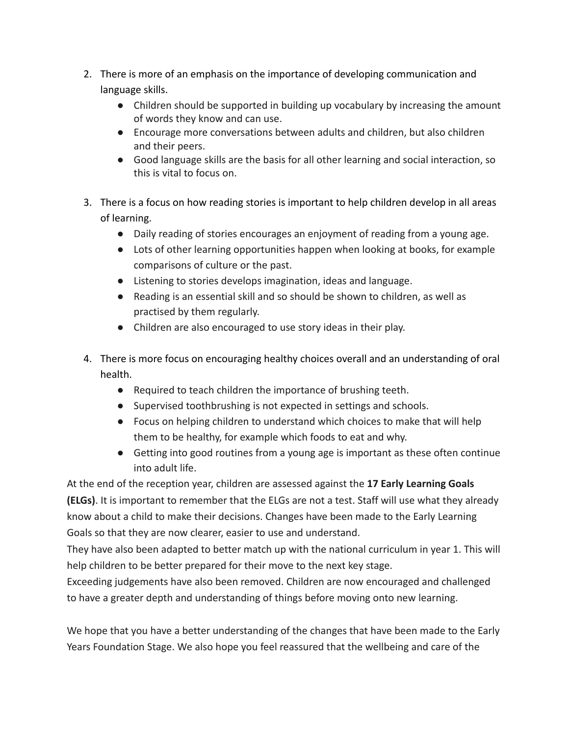- 2. There is more of an emphasis on the importance of developing communication and language skills.
	- Children should be supported in building up vocabulary by increasing the amount of words they know and can use.
	- Encourage more conversations between adults and children, but also children and their peers.
	- Good language skills are the basis for all other learning and social interaction, so this is vital to focus on.
- 3. There is a focus on how reading stories is important to help children develop in all areas of learning.
	- Daily reading of stories encourages an enjoyment of reading from a young age.
	- Lots of other learning opportunities happen when looking at books, for example comparisons of culture or the past.
	- Listening to stories develops imagination, ideas and language.
	- Reading is an essential skill and so should be shown to children, as well as practised by them regularly.
	- Children are also encouraged to use story ideas in their play.
- 4. There is more focus on encouraging healthy choices overall and an understanding of oral health.
	- Required to teach children the importance of brushing teeth.
	- Supervised toothbrushing is not expected in settings and schools.
	- Focus on helping children to understand which choices to make that will help them to be healthy, for example which foods to eat and why.
	- Getting into good routines from a young age is important as these often continue into adult life.

At the end of the reception year, children are assessed against the **17 Early Learning Goals (ELGs)**. It is important to remember that the ELGs are not a test. Staff will use what they already know about a child to make their decisions. Changes have been made to the Early Learning Goals so that they are now clearer, easier to use and understand.

They have also been adapted to better match up with the national curriculum in year 1. This will help children to be better prepared for their move to the next key stage.

Exceeding judgements have also been removed. Children are now encouraged and challenged to have a greater depth and understanding of things before moving onto new learning.

We hope that you have a better understanding of the changes that have been made to the Early Years Foundation Stage. We also hope you feel reassured that the wellbeing and care of the